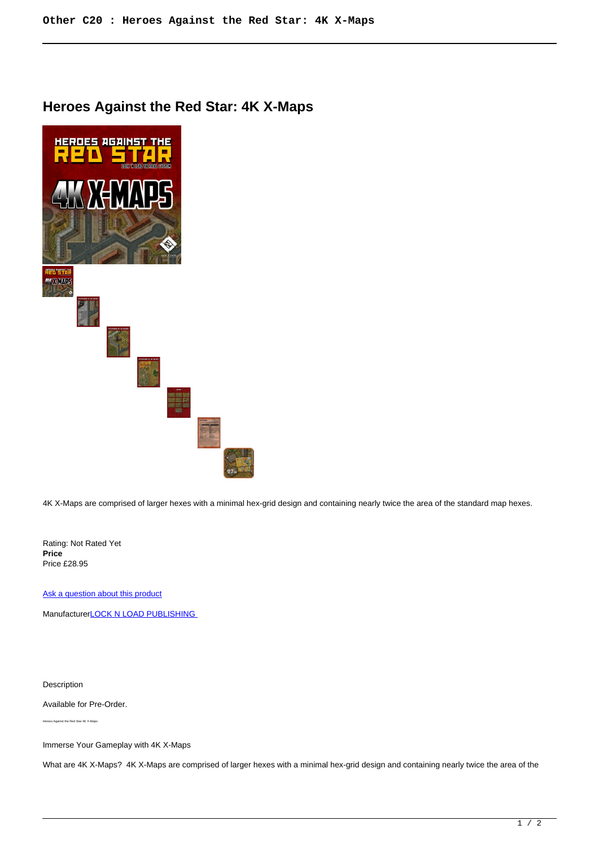## **Heroes Against the Red Star: 4K X-Maps**



4K X-Maps are comprised of larger hexes with a minimal hex-grid design and containing nearly twice the area of the standard map hexes.

Rating: Not Rated Yet **Price**  Price £28.95

[Ask a question about this product](https://www.secondchancegames.com/index.php?option=com_virtuemart&view=productdetails&task=askquestion&virtuemart_product_id=13669&virtuemart_category_id=23&tmpl=component)

Manufacturer**LOCK N LOAD PUBLISHING** 

Description

Available for Pre-Order.

Heroes Against the Red Star 4K X-Maps

Immerse Your Gameplay with 4K X-Maps

What are 4K X-Maps? 4K X-Maps are comprised of larger hexes with a minimal hex-grid design and containing nearly twice the area of the